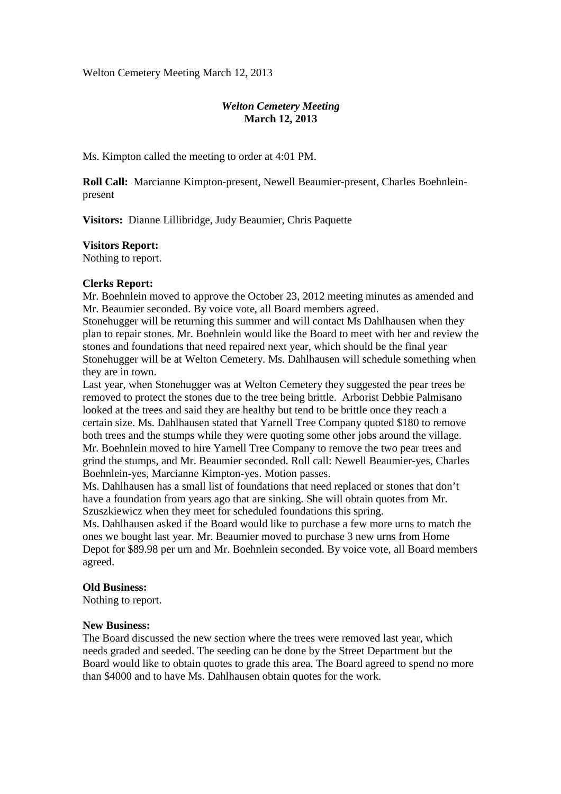Welton Cemetery Meeting March 12, 2013

# *Welton Cemetery Meeting*  **March 12, 2013**

Ms. Kimpton called the meeting to order at 4:01 PM.

**Roll Call:** Marcianne Kimpton-present, Newell Beaumier-present, Charles Boehnleinpresent

**Visitors:** Dianne Lillibridge, Judy Beaumier, Chris Paquette

### **Visitors Report:**

Nothing to report.

## **Clerks Report:**

Mr. Boehnlein moved to approve the October 23, 2012 meeting minutes as amended and Mr. Beaumier seconded. By voice vote, all Board members agreed.

Stonehugger will be returning this summer and will contact Ms Dahlhausen when they plan to repair stones. Mr. Boehnlein would like the Board to meet with her and review the stones and foundations that need repaired next year, which should be the final year Stonehugger will be at Welton Cemetery. Ms. Dahlhausen will schedule something when they are in town.

Last year, when Stonehugger was at Welton Cemetery they suggested the pear trees be removed to protect the stones due to the tree being brittle. Arborist Debbie Palmisano looked at the trees and said they are healthy but tend to be brittle once they reach a certain size. Ms. Dahlhausen stated that Yarnell Tree Company quoted \$180 to remove both trees and the stumps while they were quoting some other jobs around the village. Mr. Boehnlein moved to hire Yarnell Tree Company to remove the two pear trees and grind the stumps, and Mr. Beaumier seconded. Roll call: Newell Beaumier-yes, Charles Boehnlein-yes, Marcianne Kimpton-yes. Motion passes.

Ms. Dahlhausen has a small list of foundations that need replaced or stones that don't have a foundation from years ago that are sinking. She will obtain quotes from Mr. Szuszkiewicz when they meet for scheduled foundations this spring.

Ms. Dahlhausen asked if the Board would like to purchase a few more urns to match the ones we bought last year. Mr. Beaumier moved to purchase 3 new urns from Home Depot for \$89.98 per urn and Mr. Boehnlein seconded. By voice vote, all Board members agreed.

#### **Old Business:**

Nothing to report.

#### **New Business:**

The Board discussed the new section where the trees were removed last year, which needs graded and seeded. The seeding can be done by the Street Department but the Board would like to obtain quotes to grade this area. The Board agreed to spend no more than \$4000 and to have Ms. Dahlhausen obtain quotes for the work.